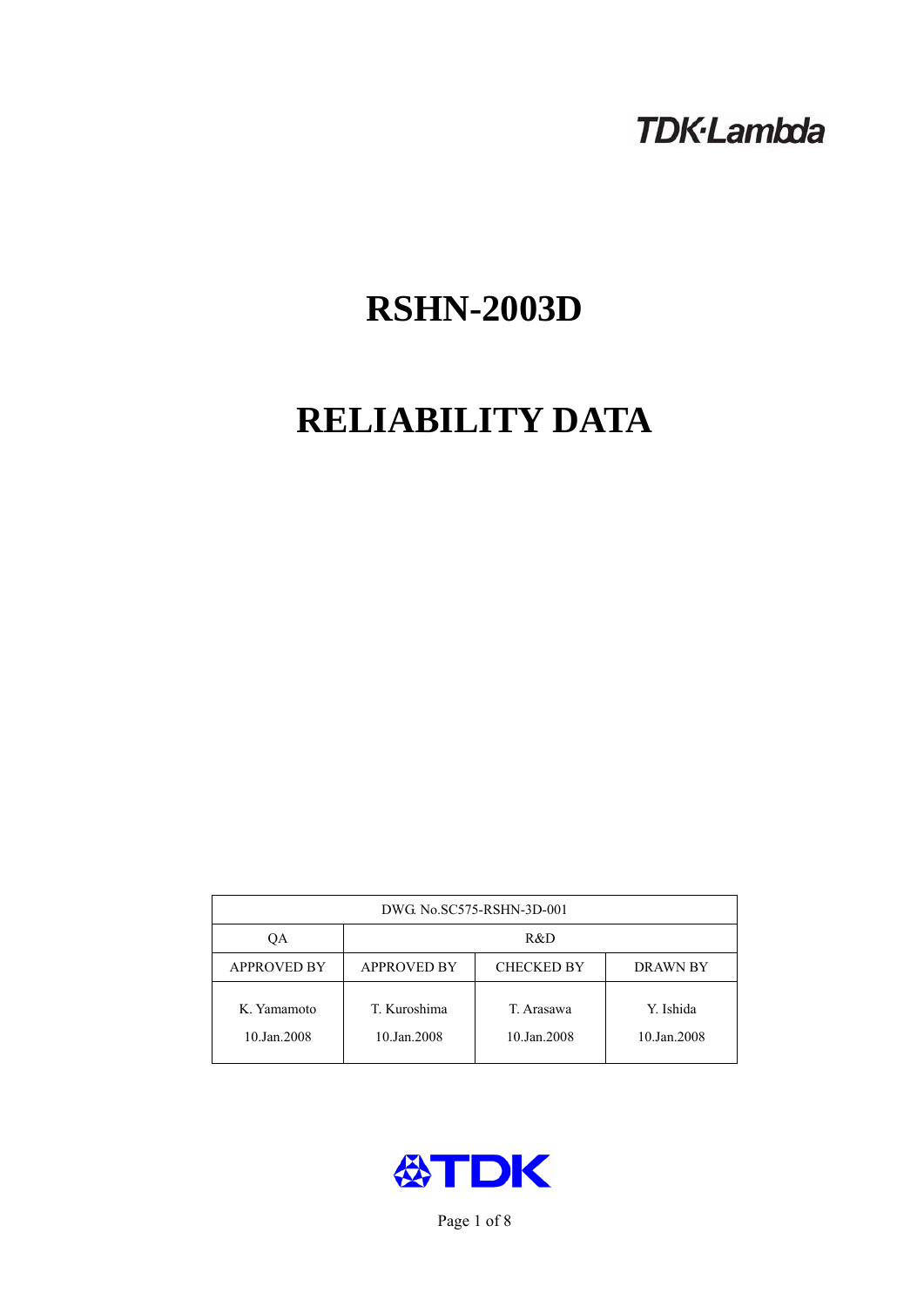# **TDK-Lambda**

# **RSHN-2003D**

# **RELIABILITY DATA**

| DWG No.SC575-RSHN-3D-001   |                                                     |                           |                          |  |  |
|----------------------------|-----------------------------------------------------|---------------------------|--------------------------|--|--|
| OА                         | R&D                                                 |                           |                          |  |  |
| <b>APPROVED BY</b>         | <b>APPROVED BY</b><br><b>CHECKED BY</b><br>DRAWN BY |                           |                          |  |  |
| K. Yamamoto<br>10.Jan.2008 | T. Kuroshima<br>10.Jan.2008                         | T. Arasawa<br>10.Jan.2008 | Y. Ishida<br>10.Jan.2008 |  |  |



Page 1 of 8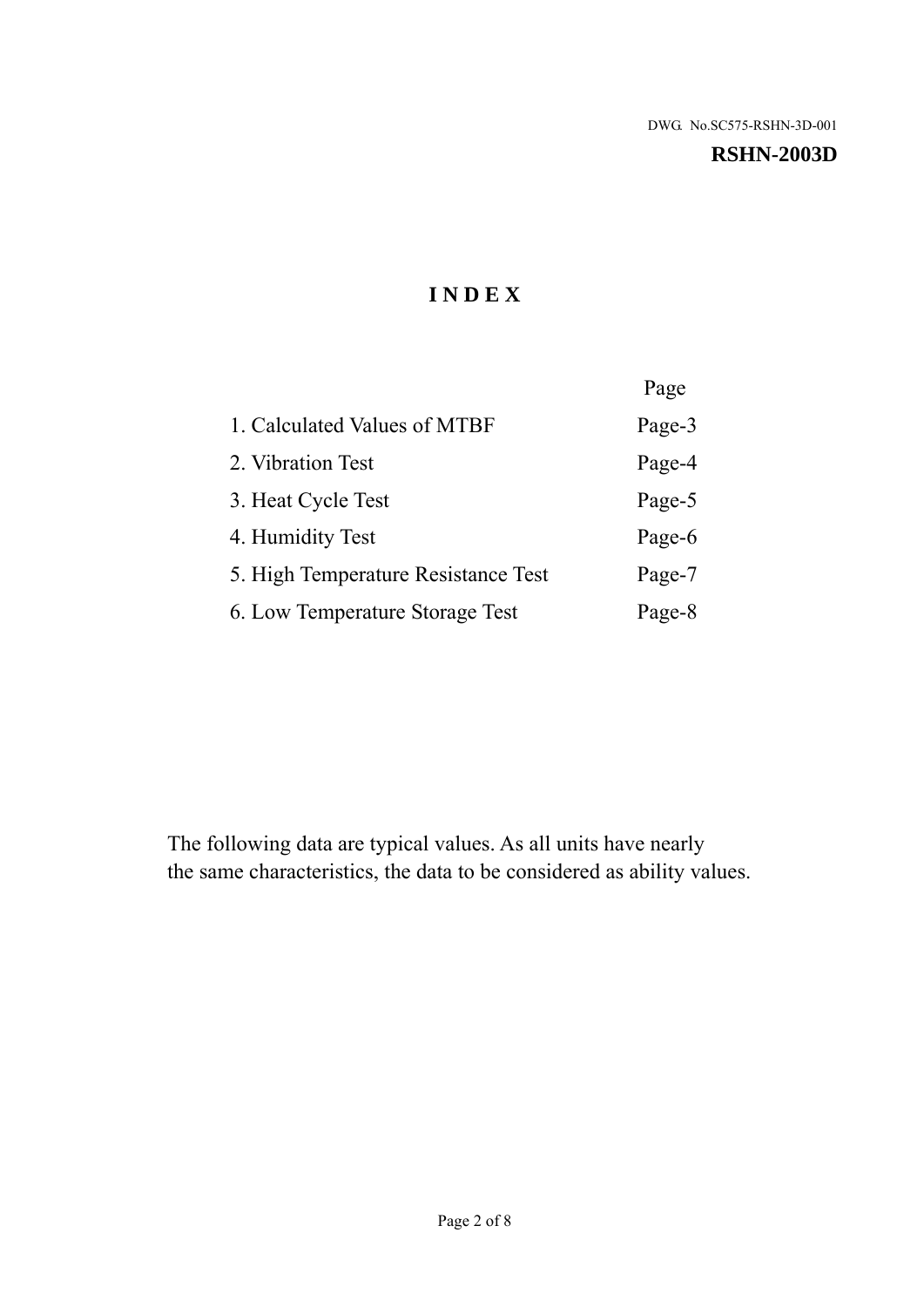#### **RSHN-2003D**

# **I N D E X**

|                                     | Page   |
|-------------------------------------|--------|
| 1. Calculated Values of MTBF        | Page-3 |
| 2. Vibration Test                   | Page-4 |
| 3. Heat Cycle Test                  | Page-5 |
| 4. Humidity Test                    | Page-6 |
| 5. High Temperature Resistance Test | Page-7 |
| 6. Low Temperature Storage Test     | Page-8 |

The following data are typical values. As all units have nearly the same characteristics, the data to be considered as ability values.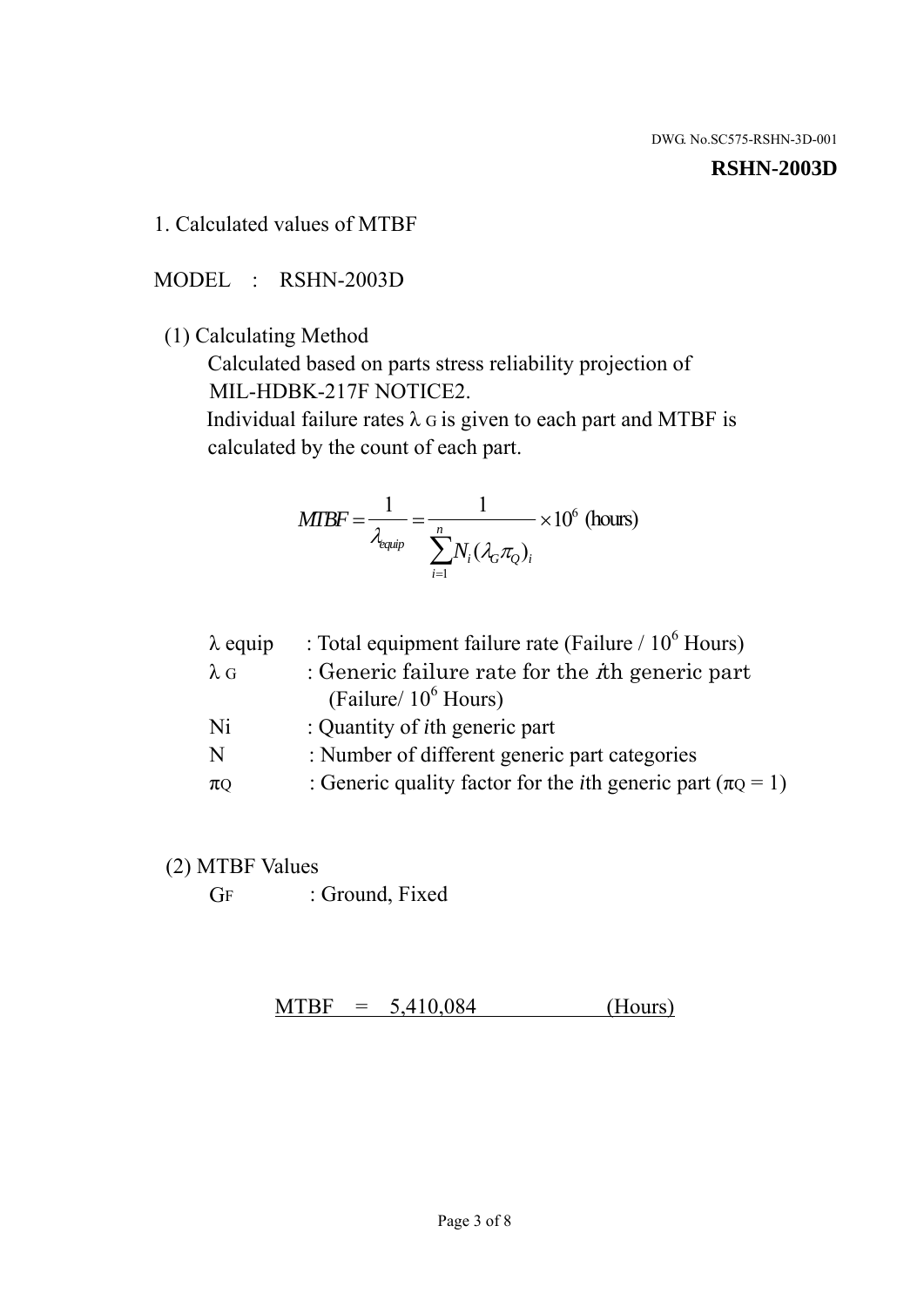#### **RSHN-2003D**

1. Calculated values of MTBF

MODEL : RSHN-2003D

(1) Calculating Method

 Calculated based on parts stress reliability projection of MIL-HDBK-217F NOTICE2.

Individual failure rates  $\lambda$  G is given to each part and MTBF is calculated by the count of each part.

$$
MTBF = \frac{1}{\lambda_{\text{equip}}} = \frac{1}{\sum_{i=1}^{n} N_i (\lambda_G \pi_Q)_i} \times 10^6 \text{ (hours)}
$$

| : Total equipment failure rate (Failure / $10^6$ Hours)                   |
|---------------------------------------------------------------------------|
| : Generic failure rate for the $\hbar$ generic part                       |
| (Failure/ $10^6$ Hours)                                                   |
| : Quantity of <i>i</i> th generic part                                    |
| : Number of different generic part categories                             |
| : Generic quality factor for the <i>i</i> th generic part ( $\pi Q = 1$ ) |
|                                                                           |

- (2) MTBF Values
	- GF : Ground, Fixed

 $MTBF = 5,410,084$  (Hours)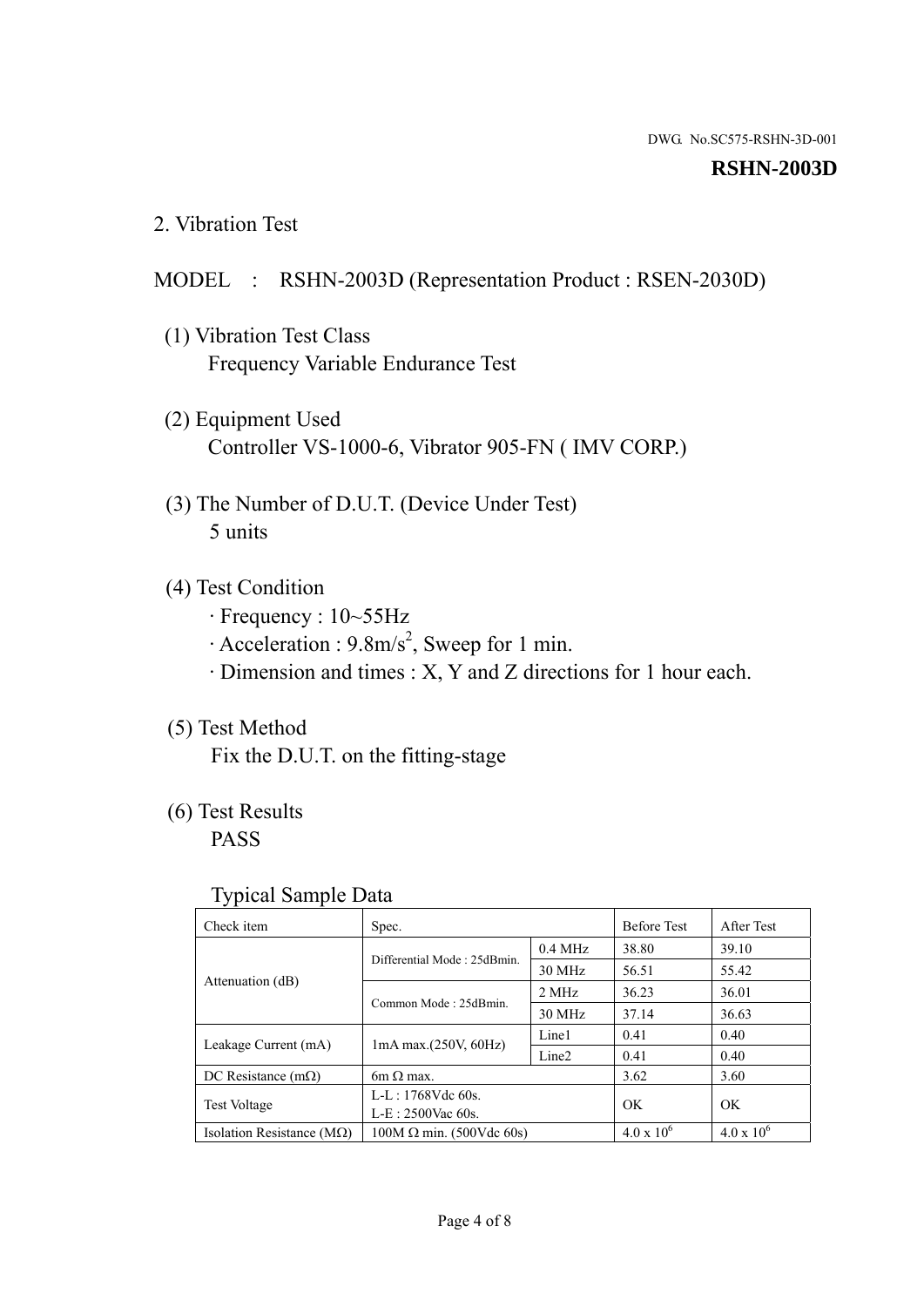#### **RSHN-2003D**

2. Vibration Test

## MODEL : RSHN-2003D (Representation Product : RSEN-2030D)

- (1) Vibration Test Class Frequency Variable Endurance Test
- (2) Equipment Used Controller VS-1000-6, Vibrator 905-FN ( IMV CORP.)
- (3) The Number of D.U.T. (Device Under Test) 5 units
- (4) Test Condition
	- · Frequency : 10~55Hz
	- $\cdot$  Acceleration : 9.8m/s<sup>2</sup>, Sweep for 1 min.
	- · Dimension and times : X, Y and Z directions for 1 hour each.

# (5) Test Method

Fix the D.U.T. on the fitting-stage

# (6) Test Results

PASS

#### Typical Sample Data

| . .                           |                                                         |           |                     |                     |
|-------------------------------|---------------------------------------------------------|-----------|---------------------|---------------------|
| Check item                    | Spec.                                                   |           | <b>Before Test</b>  | After Test          |
| Attenuation (dB)              | Differential Mode: 25dBmin.                             | $0.4$ MHz | 38.80               | 39.10               |
|                               |                                                         | 30 MHz    | 56.51               | 55.42               |
|                               | Common Mode: 25dBmin.                                   | 2 MHz     | 36.23               | 36.01               |
|                               |                                                         | 30 MHz    | 37.14               | 36.63               |
| Leakage Current (mA)          | Line1<br>$1mA$ max. $(250V, 60Hz)$<br>Line <sub>2</sub> |           | 0.41                | 0.40                |
|                               |                                                         |           | 0.41                | 0.40                |
| DC Resistance $(m\Omega)$     | $6m \Omega$ max.                                        |           | 3.62                | 3.60                |
| <b>Test Voltage</b>           | $L-L: 1768Vdc$ 60s.                                     |           | OK                  | OK.                 |
|                               | $L-E$ : 2500Vac 60s.                                    |           |                     |                     |
| Isolation Resistance ( $MQ$ ) | $100M \Omega$ min. (500Vdc 60s)                         |           | $4.0 \times 10^{6}$ | $4.0 \times 10^{6}$ |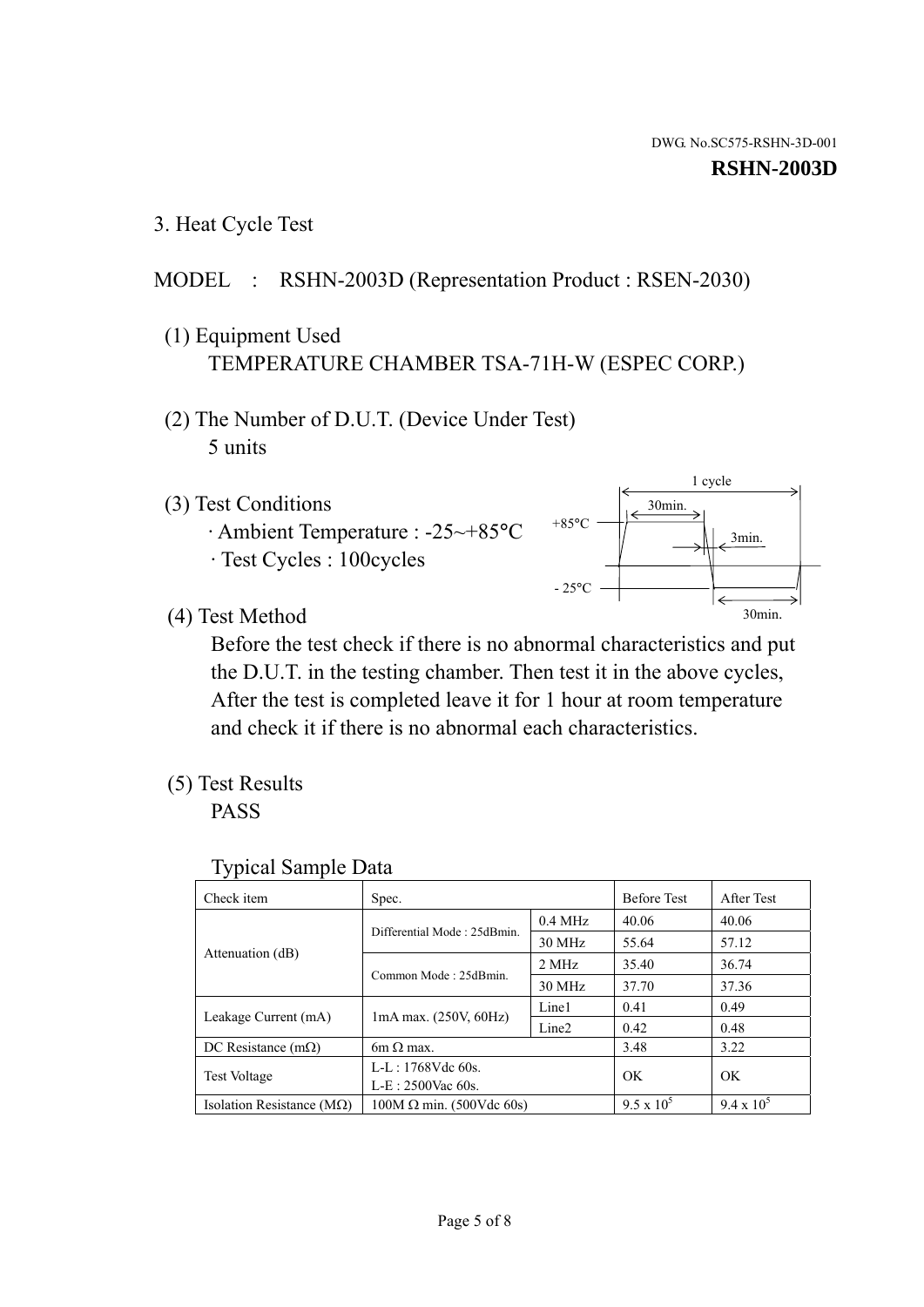1 cycle

30min.

3min.

30min.

3. Heat Cycle Test

## MODEL : RSHN-2003D (Representation Product : RSEN-2030)

- (1) Equipment Used TEMPERATURE CHAMBER TSA-71H-W (ESPEC CORP.)
- (2) The Number of D.U.T. (Device Under Test) 5 units
- (3) Test Conditions
	- · Ambient Temperature : -25~+85°C · Test Cycles : 100cycles
- (4) Test Method

 Before the test check if there is no abnormal characteristics and put the D.U.T. in the testing chamber. Then test it in the above cycles, After the test is completed leave it for 1 hour at room temperature and check it if there is no abnormal each characteristics.

 $+85$ °C

 $-25^{\circ}$ C

(5) Test Results

PASS

| <b>Typical Sample Data</b> |  |
|----------------------------|--|
|                            |  |

| Check item                    | Spec.                           |                   | <b>Before Test</b> | After Test        |
|-------------------------------|---------------------------------|-------------------|--------------------|-------------------|
|                               | Differential Mode: 25dBmin.     | $0.4$ MHz         | 40.06              | 40.06             |
|                               |                                 | 30 MHz            | 55.64              | 57.12             |
| Attenuation (dB)              | Common Mode: 25dBmin.           | 2 MHz             | 35.40              | 36.74             |
|                               |                                 | 30 MHz            | 37.70              | 37.36             |
| Leakage Current (mA)          | 1mA max. (250V, 60Hz)           | Line1             | 0.41               | 0.49              |
|                               |                                 | Line <sub>2</sub> | 0.42               | 0.48              |
| DC Resistance $(m\Omega)$     | $6m \Omega$ max.                |                   | 3.48               | 3.22              |
| <b>Test Voltage</b>           | $L-L: 1768Vdc$ 60s.             |                   | OK                 | OK.               |
|                               | L-E: 2500Vac 60s.               |                   |                    |                   |
| Isolation Resistance ( $MQ$ ) | $100M \Omega$ min. (500Vdc 60s) |                   | $9.5 \times 10^5$  | $9.4 \times 10^5$ |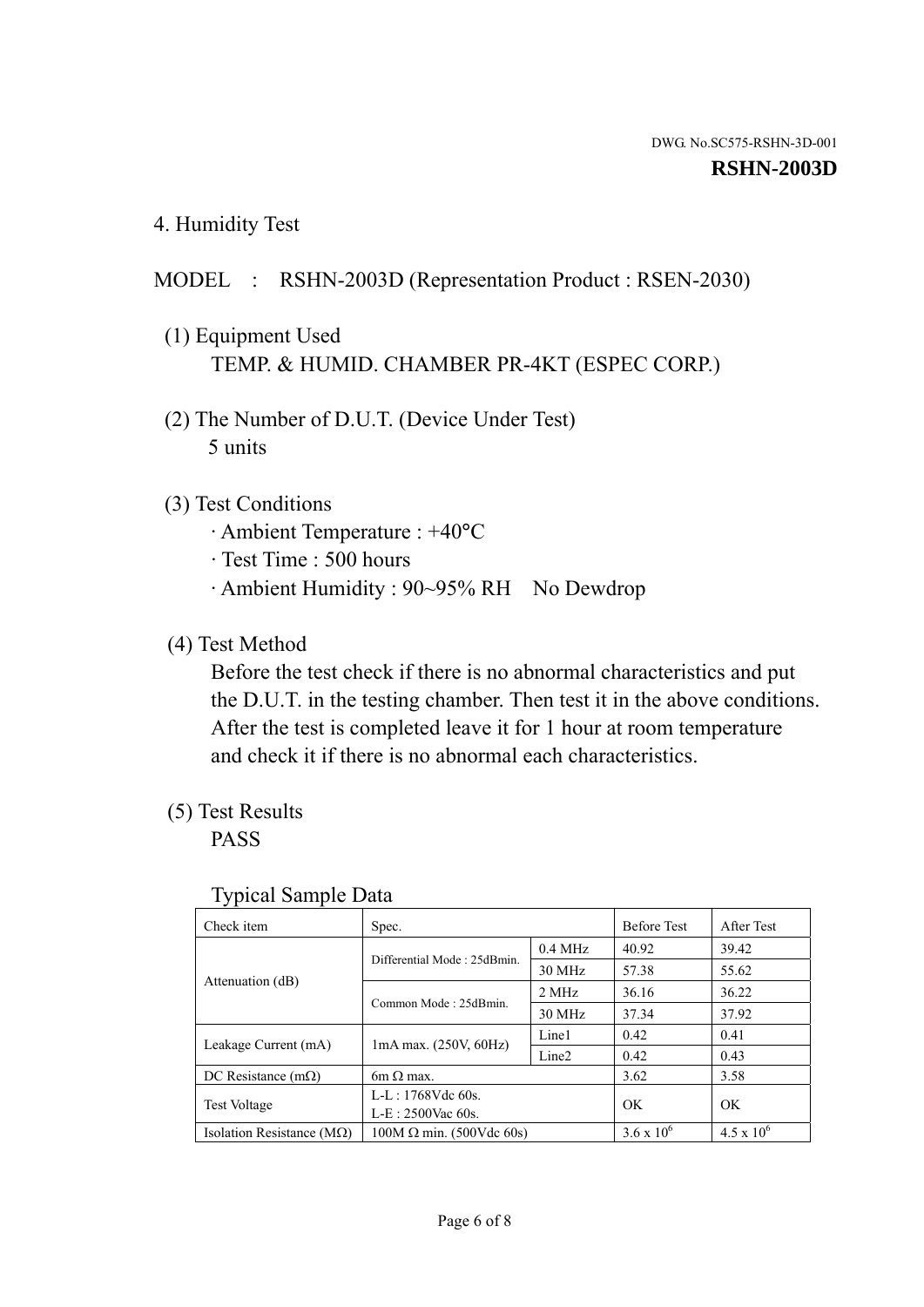4. Humidity Test

## MODEL : RSHN-2003D (Representation Product : RSEN-2030)

- (1) Equipment Used TEMP. & HUMID. CHAMBER PR-4KT (ESPEC CORP.)
- (2) The Number of D.U.T. (Device Under Test) 5 units

## (3) Test Conditions

- · Ambient Temperature : +40°C
- · Test Time : 500 hours
- · Ambient Humidity : 90~95% RH No Dewdrop

## (4) Test Method

 Before the test check if there is no abnormal characteristics and put the D.U.T. in the testing chamber. Then test it in the above conditions. After the test is completed leave it for 1 hour at room temperature and check it if there is no abnormal each characteristics.

# (5) Test Results

PASS

| ╯▴                                 |                                    |                   |                     |                     |
|------------------------------------|------------------------------------|-------------------|---------------------|---------------------|
| Check item                         | Spec.                              |                   | <b>Before Test</b>  | After Test          |
| Attenuation (dB)                   | Differential Mode: 25dBmin.        | $0.4$ MHz         | 40.92               | 39.42               |
|                                    |                                    | 30 MHz            | 57.38               | 55.62               |
|                                    | Common Mode: 25dBmin.              | 2 MHz             | 36.16               | 36.22               |
|                                    |                                    | 30 MHz            | 37.34               | 37.92               |
| Leakage Current (mA)               | Line1<br>$1mA$ max. $(250V, 60Hz)$ |                   | 0.42                | 0.41                |
|                                    |                                    | Line <sub>2</sub> | 0.42                | 0.43                |
| DC Resistance $(m\Omega)$          | $6m \Omega$ max.                   |                   | 3.62                | 3.58                |
| <b>Test Voltage</b>                | $L-L: 1768Vdc$ 60s.                |                   | OK                  | OK                  |
|                                    | $L-E: 2500$ Vac 60s.               |                   |                     |                     |
| Isolation Resistance ( $M\Omega$ ) | $100M \Omega$ min. (500Vdc 60s)    |                   | $3.6 \times 10^{6}$ | $4.5 \times 10^{6}$ |

#### Typical Sample Data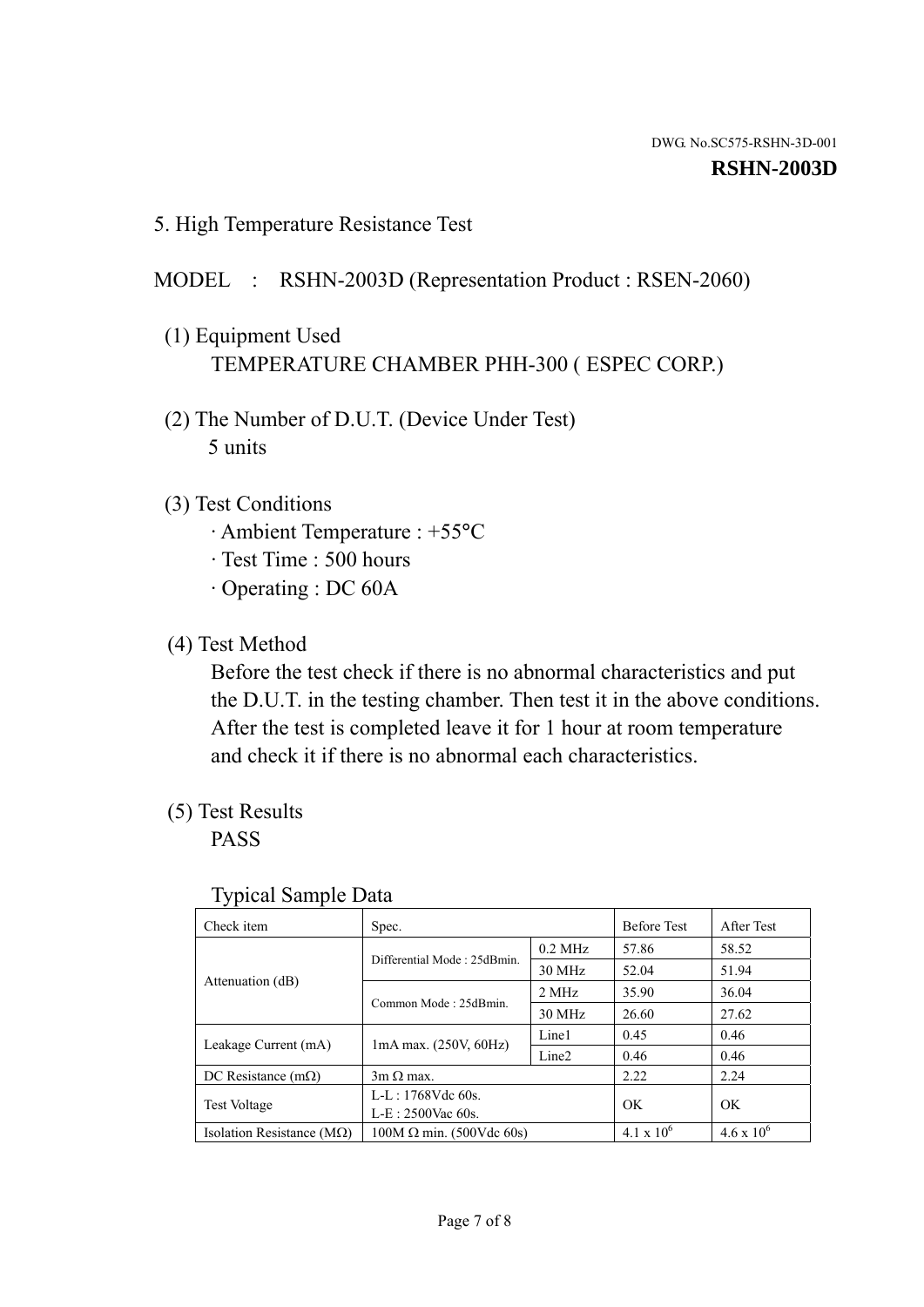5. High Temperature Resistance Test

### MODEL : RSHN-2003D (Representation Product : RSEN-2060)

- (1) Equipment Used TEMPERATURE CHAMBER PHH-300 ( ESPEC CORP.)
- (2) The Number of D.U.T. (Device Under Test) 5 units
- (3) Test Conditions
	- · Ambient Temperature : +55°C
	- · Test Time : 500 hours
	- · Operating : DC 60A
- (4) Test Method

 Before the test check if there is no abnormal characteristics and put the D.U.T. in the testing chamber. Then test it in the above conditions. After the test is completed leave it for 1 hour at room temperature and check it if there is no abnormal each characteristics.

(5) Test Results

PASS

| ╯┸                                 |                                                         |           |                     |                     |
|------------------------------------|---------------------------------------------------------|-----------|---------------------|---------------------|
| Check item                         | Spec.                                                   |           | <b>Before Test</b>  | After Test          |
| Attenuation (dB)                   | Differential Mode: 25dBmin.                             | $0.2$ MHz | 57.86               | 58.52               |
|                                    |                                                         | 30 MHz    | 52.04               | 51.94               |
|                                    | Common Mode: 25dBmin.                                   | 2 MHz     | 35.90               | 36.04               |
|                                    |                                                         | 30 MHz    | 26.60               | 27.62               |
| Leakage Current (mA)               | Line1<br>$1mA$ max. $(250V, 60Hz)$<br>Line <sub>2</sub> |           | 0.45                | 0.46                |
|                                    |                                                         | 0.46      | 0.46                |                     |
| DC Resistance $(m\Omega)$          | $3m \Omega$ max.                                        |           | 2.22                | 2.24                |
| <b>Test Voltage</b>                | $L-L: 1768Vdc$ 60s.                                     |           | OK                  | OK                  |
|                                    | $L-E: 2500$ Vac 60s.                                    |           |                     |                     |
| Isolation Resistance ( $M\Omega$ ) | $100M \Omega$ min. (500Vdc 60s)                         |           | $4.1 \times 10^{6}$ | $4.6 \times 10^{6}$ |

#### Typical Sample Data